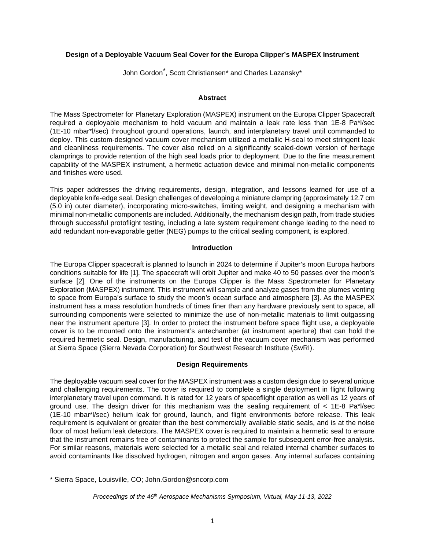## **Design of a Deployable Vacuum Seal Cover for the Europa Clipper's MASPEX Instrument**

John Gordon[\\*](#page-0-0) , Scott Christiansen\* and Charles Lazansky\*

#### **Abstract**

The Mass Spectrometer for Planetary Exploration (MASPEX) instrument on the Europa Clipper Spacecraft required a deployable mechanism to hold vacuum and maintain a leak rate less than 1E-8 Pa\*l/sec (1E-10 mbar\*l/sec) throughout ground operations, launch, and interplanetary travel until commanded to deploy. This custom-designed vacuum cover mechanism utilized a metallic H-seal to meet stringent leak and cleanliness requirements. The cover also relied on a significantly scaled-down version of heritage clamprings to provide retention of the high seal loads prior to deployment. Due to the fine measurement capability of the MASPEX instrument, a hermetic actuation device and minimal non-metallic components and finishes were used.

This paper addresses the driving requirements, design, integration, and lessons learned for use of a deployable knife-edge seal. Design challenges of developing a miniature clampring (approximately 12.7 cm (5.0 in) outer diameter), incorporating micro-switches, limiting weight, and designing a mechanism with minimal non-metallic components are included. Additionally, the mechanism design path, from trade studies through successful protoflight testing, including a late system requirement change leading to the need to add redundant non-evaporable getter (NEG) pumps to the critical sealing component, is explored.

#### **Introduction**

The Europa Clipper spacecraft is planned to launch in 2024 to determine if Jupiter's moon Europa harbors conditions suitable for life [1]. The spacecraft will orbit Jupiter and make 40 to 50 passes over the moon's surface [2]. One of the instruments on the Europa Clipper is the Mass Spectrometer for Planetary Exploration (MASPEX) instrument. This instrument will sample and analyze gases from the plumes venting to space from Europa's surface to study the moon's ocean surface and atmosphere [3]. As the MASPEX instrument has a mass resolution hundreds of times finer than any hardware previously sent to space, all surrounding components were selected to minimize the use of non-metallic materials to limit outgassing near the instrument aperture [3]. In order to protect the instrument before space flight use, a deployable cover is to be mounted onto the instrument's antechamber (at instrument aperture) that can hold the required hermetic seal. Design, manufacturing, and test of the vacuum cover mechanism was performed at Sierra Space (Sierra Nevada Corporation) for Southwest Research Institute (SwRI).

#### **Design Requirements**

The deployable vacuum seal cover for the MASPEX instrument was a custom design due to several unique and challenging requirements. The cover is required to complete a single deployment in flight following interplanetary travel upon command. It is rated for 12 years of spaceflight operation as well as 12 years of ground use. The design driver for this mechanism was the sealing requirement of  $\lt 1E-8$  Pa\*l/sec (1E-10 mbar\*l/sec) helium leak for ground, launch, and flight environments before release. This leak requirement is equivalent or greater than the best commercially available static seals, and is at the noise floor of most helium leak detectors. The MASPEX cover is required to maintain a hermetic seal to ensure that the instrument remains free of contaminants to protect the sample for subsequent error-free analysis. For similar reasons, materials were selected for a metallic seal and related internal chamber surfaces to avoid contaminants like dissolved hydrogen, nitrogen and argon gases. Any internal surfaces containing

<span id="page-0-0"></span><sup>\*</sup> Sierra Space, Louisville, CO; John.Gordon@sncorp.com

*Proceedings of the 46th Aerospace Mechanisms Symposium, Virtual, May 11-13, 2022*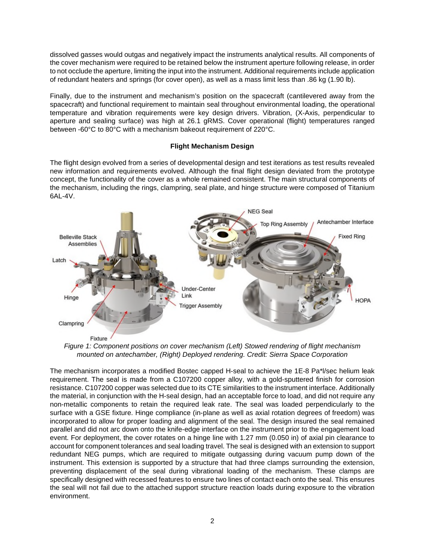dissolved gasses would outgas and negatively impact the instruments analytical results. All components of the cover mechanism were required to be retained below the instrument aperture following release, in order to not occlude the aperture, limiting the input into the instrument. Additional requirements include application of redundant heaters and springs (for cover open), as well as a mass limit less than .86 kg (1.90 lb).

Finally, due to the instrument and mechanism's position on the spacecraft (cantilevered away from the spacecraft) and functional requirement to maintain seal throughout environmental loading, the operational temperature and vibration requirements were key design drivers. Vibration, (X-Axis, perpendicular to aperture and sealing surface) was high at 26.1 gRMS. Cover operational (flight) temperatures ranged between -60°C to 80°C with a mechanism bakeout requirement of 220°C.

# **Flight Mechanism Design**

The flight design evolved from a series of developmental design and test iterations as test results revealed new information and requirements evolved. Although the final flight design deviated from the prototype concept, the functionality of the cover as a whole remained consistent. The main structural components of the mechanism, including the rings, clampring, seal plate, and hinge structure were composed of Titanium 6AL-4V.



*Figure 1: Component positions on cover mechanism (Left) Stowed rendering of flight mechanism mounted on antechamber, (Right) Deployed rendering. Credit: Sierra Space Corporation* 

The mechanism incorporates a modified Bostec capped H-seal to achieve the 1E-8 Pa\*l/sec helium leak requirement. The seal is made from a C107200 copper alloy, with a gold-sputtered finish for corrosion resistance. C107200 copper was selected due to its CTE similarities to the instrument interface. Additionally the material, in conjunction with the H-seal design, had an acceptable force to load, and did not require any non-metallic components to retain the required leak rate. The seal was loaded perpendicularly to the surface with a GSE fixture. Hinge compliance (in-plane as well as axial rotation degrees of freedom) was incorporated to allow for proper loading and alignment of the seal. The design insured the seal remained parallel and did not arc down onto the knife-edge interface on the instrument prior to the engagement load event. For deployment, the cover rotates on a hinge line with 1.27 mm (0.050 in) of axial pin clearance to account for component tolerances and seal loading travel. The seal is designed with an extension to support redundant NEG pumps, which are required to mitigate outgassing during vacuum pump down of the instrument. This extension is supported by a structure that had three clamps surrounding the extension, preventing displacement of the seal during vibrational loading of the mechanism. These clamps are specifically designed with recessed features to ensure two lines of contact each onto the seal. This ensures the seal will not fail due to the attached support structure reaction loads during exposure to the vibration environment.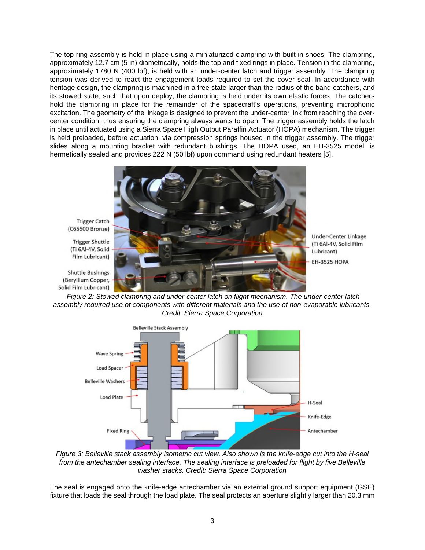The top ring assembly is held in place using a miniaturized clampring with built-in shoes. The clampring, approximately 12.7 cm (5 in) diametrically, holds the top and fixed rings in place. Tension in the clampring, approximately 1780 N (400 lbf), is held with an under-center latch and trigger assembly. The clampring tension was derived to react the engagement loads required to set the cover seal. In accordance with heritage design, the clampring is machined in a free state larger than the radius of the band catchers, and its stowed state, such that upon deploy, the clampring is held under its own elastic forces. The catchers hold the clampring in place for the remainder of the spacecraft's operations, preventing microphonic excitation. The geometry of the linkage is designed to prevent the under-center link from reaching the overcenter condition, thus ensuring the clampring always wants to open. The trigger assembly holds the latch in place until actuated using a Sierra Space High Output Paraffin Actuator (HOPA) mechanism. The trigger is held preloaded, before actuation, via compression springs housed in the trigger assembly. The trigger slides along a mounting bracket with redundant bushings. The HOPA used, an EH-3525 model, is hermetically sealed and provides 222 N (50 lbf) upon command using redundant heaters [5].



**Trigger Catch** (C65500 Bronze)

**Trigger Shuttle** (Ti 6Al-4V, Solid Film Lubricant)

**Shuttle Bushings** (Beryllium Copper, Solid Film Lubricant)

Under-Center Linkage (Ti 6Al-4V, Solid Film Lubricant) **EH-3525 HOPA** 

*Figure 2: Stowed clampring and under-center latch on flight mechanism. The under-center latch assembly required use of components with different materials and the use of non-evaporable lubricants. Credit: Sierra Space Corporation* 



*Figure 3: Belleville stack assembly isometric cut view. Also shown is the knife-edge cut into the H-seal from the antechamber sealing interface. The sealing interface is preloaded for flight by five Belleville washer stacks. Credit: Sierra Space Corporation* 

The seal is engaged onto the knife-edge antechamber via an external ground support equipment (GSE) fixture that loads the seal through the load plate. The seal protects an aperture slightly larger than 20.3 mm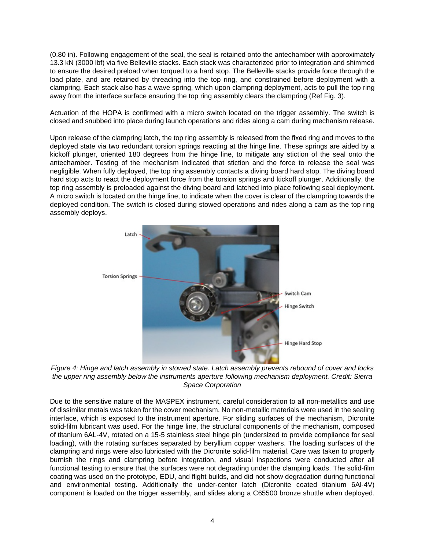(0.80 in). Following engagement of the seal, the seal is retained onto the antechamber with approximately 13.3 kN (3000 lbf) via five Belleville stacks. Each stack was characterized prior to integration and shimmed to ensure the desired preload when torqued to a hard stop. The Belleville stacks provide force through the load plate, and are retained by threading into the top ring, and constrained before deployment with a clampring. Each stack also has a wave spring, which upon clampring deployment, acts to pull the top ring away from the interface surface ensuring the top ring assembly clears the clampring (Ref Fig. 3).

Actuation of the HOPA is confirmed with a micro switch located on the trigger assembly. The switch is closed and snubbed into place during launch operations and rides along a cam during mechanism release.

Upon release of the clampring latch, the top ring assembly is released from the fixed ring and moves to the deployed state via two redundant torsion springs reacting at the hinge line. These springs are aided by a kickoff plunger, oriented 180 degrees from the hinge line, to mitigate any stiction of the seal onto the antechamber. Testing of the mechanism indicated that stiction and the force to release the seal was negligible. When fully deployed, the top ring assembly contacts a diving board hard stop. The diving board hard stop acts to react the deployment force from the torsion springs and kickoff plunger. Additionally, the top ring assembly is preloaded against the diving board and latched into place following seal deployment. A micro switch is located on the hinge line, to indicate when the cover is clear of the clampring towards the deployed condition. The switch is closed during stowed operations and rides along a cam as the top ring assembly deploys.



*Figure 4: Hinge and latch assembly in stowed state. Latch assembly prevents rebound of cover and locks the upper ring assembly below the instruments aperture following mechanism deployment. Credit: Sierra Space Corporation* 

Due to the sensitive nature of the MASPEX instrument, careful consideration to all non-metallics and use of dissimilar metals was taken for the cover mechanism. No non-metallic materials were used in the sealing interface, which is exposed to the instrument aperture. For sliding surfaces of the mechanism, Dicronite solid-film lubricant was used. For the hinge line, the structural components of the mechanism, composed of titanium 6AL-4V, rotated on a 15-5 stainless steel hinge pin (undersized to provide compliance for seal loading), with the rotating surfaces separated by beryllium copper washers. The loading surfaces of the clampring and rings were also lubricated with the Dicronite solid-film material. Care was taken to properly burnish the rings and clampring before integration, and visual inspections were conducted after all functional testing to ensure that the surfaces were not degrading under the clamping loads. The solid-film coating was used on the prototype, EDU, and flight builds, and did not show degradation during functional and environmental testing. Additionally the under-center latch (Dicronite coated titanium 6Al-4V) component is loaded on the trigger assembly, and slides along a C65500 bronze shuttle when deployed.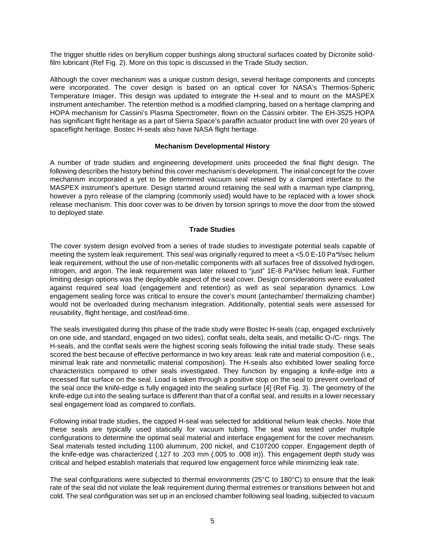The trigger shuttle rides on beryllium copper bushings along structural surfaces coated by Dicronite solidfilm lubricant (Ref Fig. 2). More on this topic is discussed in the Trade Study section.

Although the cover mechanism was a unique custom design, several heritage components and concepts were incorporated. The cover design is based on an optical cover for NASA's Thermos-Spheric Temperature Imager. This design was updated to integrate the H-seal and to mount on the MASPEX instrument antechamber. The retention method is a modified clampring, based on a heritage clampring and HOPA mechanism for Cassini's Plasma Spectrometer, flown on the Cassini orbiter. The EH-3525 HOPA has significant flight heritage as a part of Sierra Space's paraffin actuator product line with over 20 years of spaceflight heritage. Bostec H-seals also have NASA flight heritage.

## **Mechanism Developmental History**

A number of trade studies and engineering development units proceeded the final flight design. The following describes the history behind this cover mechanism's development. The initial concept for the cover mechanism incorporated a yet to be determined vacuum seal retained by a clamped interface to the MASPEX instrument's aperture. Design started around retaining the seal with a marman type clampring, however a pyro release of the clampring (commonly used) would have to be replaced with a lower shock release mechanism. This door cover was to be driven by torsion springs to move the door from the stowed to deployed state.

## **Trade Studies**

The cover system design evolved from a series of trade studies to investigate potential seals capable of meeting the system leak requirement. This seal was originally required to meet a <5.0 E-10 Pa\*l/sec helium leak requirement, without the use of non-metallic components with all surfaces free of dissolved hydrogen, nitrogen, and argon. The leak requirement was later relaxed to "just" 1E-8 Pa\*l/sec helium leak. Further limiting design options was the deployable aspect of the seal cover. Design considerations were evaluated against required seal load (engagement and retention) as well as seal separation dynamics. Low engagement sealing force was critical to ensure the cover's mount (antechamber/ thermalizing chamber) would not be overloaded during mechanism integration. Additionally, potential seals were assessed for reusability, flight heritage, and cost/lead-time.

The seals investigated during this phase of the trade study were Bostec H-seals (cap, engaged exclusively on one side, and standard, engaged on two sides), conflat seals, delta seals, and metallic O-/C- rings. The H-seals, and the conflat seals were the highest scoring seals following the initial trade study. These seals scored the best because of effective performance in two key areas: leak rate and material composition (i.e., minimal leak rate and nonmetallic material composition). The H-seals also exhibited lower sealing force characteristics compared to other seals investigated. They function by engaging a knife-edge into a recessed flat surface on the seal. Load is taken through a positive stop on the seal to prevent overload of the seal once the knife-edge is fully engaged into the sealing surface [4] (Ref Fig. 3). The geometry of the knife-edge cut into the sealing surface is different than that of a conflat seal, and results in a lower necessary seal engagement load as compared to conflats.

Following initial trade studies, the capped H-seal was selected for additional helium leak checks. Note that these seals are typically used statically for vacuum tubing. The seal was tested under multiple configurations to determine the optimal seal material and interface engagement for the cover mechanism. Seal materials tested including 1100 aluminum, 200 nickel, and C107200 copper. Engagement depth of the knife-edge was characterized (.127 to .203 mm (.005 to .008 in)). This engagement depth study was critical and helped establish materials that required low engagement force while minimizing leak rate.

The seal configurations were subjected to thermal environments (25°C to 180°C) to ensure that the leak rate of the seal did not violate the leak requirement during thermal extremes or transitions between hot and cold. The seal configuration was set up in an enclosed chamber following seal loading, subjected to vacuum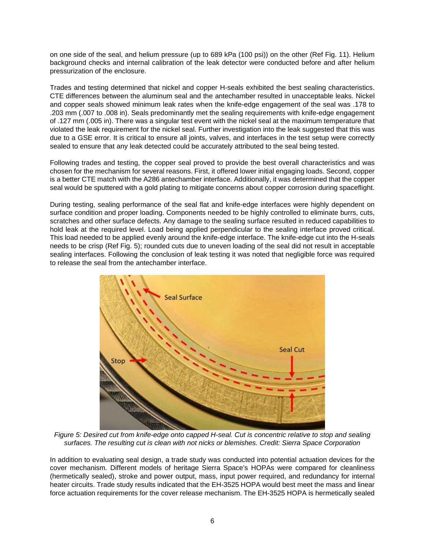on one side of the seal, and helium pressure (up to 689 kPa (100 psi)) on the other (Ref Fig. 11). Helium background checks and internal calibration of the leak detector were conducted before and after helium pressurization of the enclosure.

Trades and testing determined that nickel and copper H-seals exhibited the best sealing characteristics. CTE differences between the aluminum seal and the antechamber resulted in unacceptable leaks. Nickel and copper seals showed minimum leak rates when the knife-edge engagement of the seal was .178 to .203 mm (.007 to .008 in). Seals predominantly met the sealing requirements with knife-edge engagement of .127 mm (.005 in). There was a singular test event with the nickel seal at the maximum temperature that violated the leak requirement for the nickel seal. Further investigation into the leak suggested that this was due to a GSE error. It is critical to ensure all joints, valves, and interfaces in the test setup were correctly sealed to ensure that any leak detected could be accurately attributed to the seal being tested.

Following trades and testing, the copper seal proved to provide the best overall characteristics and was chosen for the mechanism for several reasons. First, it offered lower initial engaging loads. Second, copper is a better CTE match with the A286 antechamber interface. Additionally, it was determined that the copper seal would be sputtered with a gold plating to mitigate concerns about copper corrosion during spaceflight.

During testing, sealing performance of the seal flat and knife-edge interfaces were highly dependent on surface condition and proper loading. Components needed to be highly controlled to eliminate burrs, cuts, scratches and other surface defects. Any damage to the sealing surface resulted in reduced capabilities to hold leak at the required level. Load being applied perpendicular to the sealing interface proved critical. This load needed to be applied evenly around the knife-edge interface. The knife-edge cut into the H-seals needs to be crisp (Ref Fig. 5); rounded cuts due to uneven loading of the seal did not result in acceptable sealing interfaces. Following the conclusion of leak testing it was noted that negligible force was required to release the seal from the antechamber interface.



*Figure 5: Desired cut from knife-edge onto capped H-seal. Cut is concentric relative to stop and sealing surfaces. The resulting cut is clean with not nicks or blemishes. Credit: Sierra Space Corporation* 

In addition to evaluating seal design, a trade study was conducted into potential actuation devices for the cover mechanism. Different models of heritage Sierra Space's HOPAs were compared for cleanliness (hermetically sealed), stroke and power output, mass, input power required, and redundancy for internal heater circuits. Trade study results indicated that the EH-3525 HOPA would best meet the mass and linear force actuation requirements for the cover release mechanism. The EH-3525 HOPA is hermetically sealed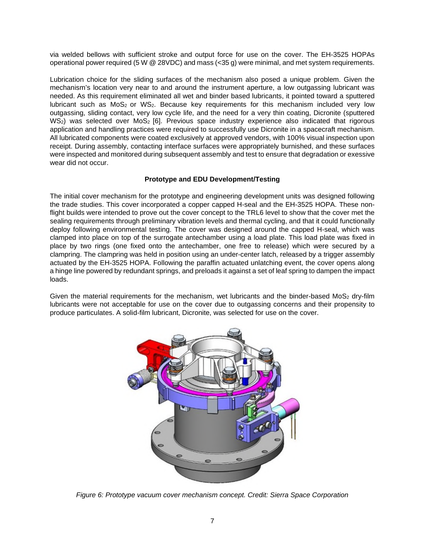via welded bellows with sufficient stroke and output force for use on the cover. The EH-3525 HOPAs operational power required (5 W @ 28VDC) and mass (<35 g) were minimal, and met system requirements.

Lubrication choice for the sliding surfaces of the mechanism also posed a unique problem. Given the mechanism's location very near to and around the instrument aperture, a low outgassing lubricant was needed. As this requirement eliminated all wet and binder based lubricants, it pointed toward a sputtered lubricant such as  $MoS<sub>2</sub>$  or WS<sub>2</sub>. Because key requirements for this mechanism included very low outgassing, sliding contact, very low cycle life, and the need for a very thin coating, Dicronite (sputtered  $WS<sub>2</sub>$ ) was selected over MoS<sub>2</sub> [6]. Previous space industry experience also indicated that rigorous application and handling practices were required to successfully use Dicronite in a spacecraft mechanism. All lubricated components were coated exclusively at approved vendors, with 100% visual inspection upon receipt. During assembly, contacting interface surfaces were appropriately burnished, and these surfaces were inspected and monitored during subsequent assembly and test to ensure that degradation or exessive wear did not occur.

# **Prototype and EDU Development/Testing**

The initial cover mechanism for the prototype and engineering development units was designed following the trade studies. This cover incorporated a copper capped H-seal and the EH-3525 HOPA. These nonflight builds were intended to prove out the cover concept to the TRL6 level to show that the cover met the sealing requirements through preliminary vibration levels and thermal cycling, and that it could functionally deploy following environmental testing. The cover was designed around the capped H-seal, which was clamped into place on top of the surrogate antechamber using a load plate. This load plate was fixed in place by two rings (one fixed onto the antechamber, one free to release) which were secured by a clampring. The clampring was held in position using an under-center latch, released by a trigger assembly actuated by the EH-3525 HOPA. Following the paraffin actuated unlatching event, the cover opens along a hinge line powered by redundant springs, and preloads it against a set of leaf spring to dampen the impact loads.

Given the material requirements for the mechanism, wet lubricants and the binder-based MoS<sub>2</sub> dry-film lubricants were not acceptable for use on the cover due to outgassing concerns and their propensity to produce particulates. A solid-film lubricant, Dicronite, was selected for use on the cover.



*Figure 6: Prototype vacuum cover mechanism concept. Credit: Sierra Space Corporation*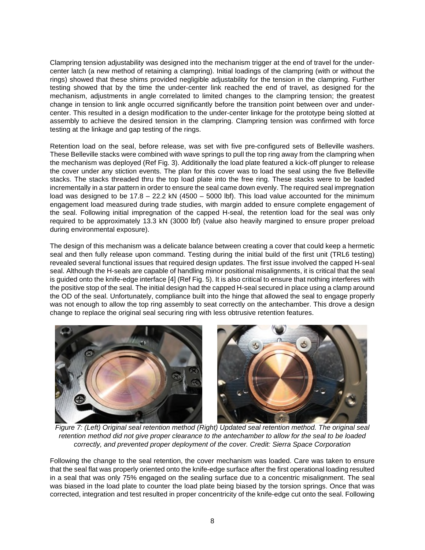Clampring tension adjustability was designed into the mechanism trigger at the end of travel for the undercenter latch (a new method of retaining a clampring). Initial loadings of the clampring (with or without the rings) showed that these shims provided negligible adjustability for the tension in the clampring. Further testing showed that by the time the under-center link reached the end of travel, as designed for the mechanism, adjustments in angle correlated to limited changes to the clampring tension; the greatest change in tension to link angle occurred significantly before the transition point between over and undercenter. This resulted in a design modification to the under-center linkage for the prototype being slotted at assembly to achieve the desired tension in the clampring. Clampring tension was confirmed with force testing at the linkage and gap testing of the rings.

Retention load on the seal, before release, was set with five pre-configured sets of Belleville washers. These Belleville stacks were combined with wave springs to pull the top ring away from the clampring when the mechanism was deployed (Ref Fig. 3). Additionally the load plate featured a kick-off plunger to release the cover under any stiction events. The plan for this cover was to load the seal using the five Belleville stacks. The stacks threaded thru the top load plate into the free ring. These stacks were to be loaded incrementally in a star pattern in order to ensure the seal came down evenly. The required seal impregnation load was designed to be  $17.8 - 22.2$  kN (4500 – 5000 lbf). This load value accounted for the minimum engagement load measured during trade studies, with margin added to ensure complete engagement of the seal. Following initial impregnation of the capped H-seal, the retention load for the seal was only required to be approximately 13.3 kN (3000 lbf) (value also heavily margined to ensure proper preload during environmental exposure).

The design of this mechanism was a delicate balance between creating a cover that could keep a hermetic seal and then fully release upon command. Testing during the initial build of the first unit (TRL6 testing) revealed several functional issues that required design updates. The first issue involved the capped H-seal seal. Although the H-seals are capable of handling minor positional misalignments, it is critical that the seal is guided onto the knife-edge interface [4] (Ref Fig. 5). It is also critical to ensure that nothing interferes with the positive stop of the seal. The initial design had the capped H-seal secured in place using a clamp around the OD of the seal. Unfortunately, compliance built into the hinge that allowed the seal to engage properly was not enough to allow the top ring assembly to seat correctly on the antechamber. This drove a design change to replace the original seal securing ring with less obtrusive retention features.



*Figure 7: (Left) Original seal retention method (Right) Updated seal retention method. The original seal retention method did not give proper clearance to the antechamber to allow for the seal to be loaded correctly, and prevented proper deployment of the cover. Credit: Sierra Space Corporation* 

Following the change to the seal retention, the cover mechanism was loaded. Care was taken to ensure that the seal flat was properly oriented onto the knife-edge surface after the first operational loading resulted in a seal that was only 75% engaged on the sealing surface due to a concentric misalignment. The seal was biased in the load plate to counter the load plate being biased by the torsion springs. Once that was corrected, integration and test resulted in proper concentricity of the knife-edge cut onto the seal. Following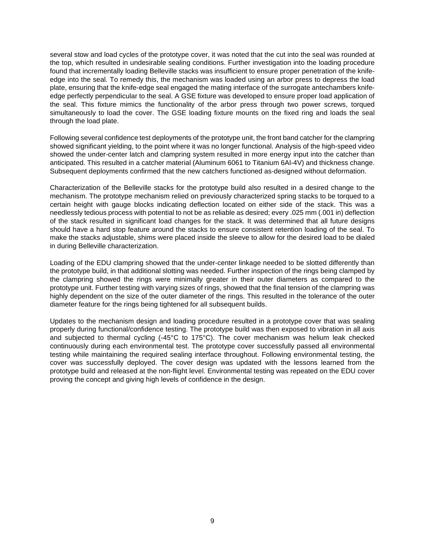several stow and load cycles of the prototype cover, it was noted that the cut into the seal was rounded at the top, which resulted in undesirable sealing conditions. Further investigation into the loading procedure found that incrementally loading Belleville stacks was insufficient to ensure proper penetration of the knifeedge into the seal. To remedy this, the mechanism was loaded using an arbor press to depress the load plate, ensuring that the knife-edge seal engaged the mating interface of the surrogate antechambers knifeedge perfectly perpendicular to the seal. A GSE fixture was developed to ensure proper load application of the seal. This fixture mimics the functionality of the arbor press through two power screws, torqued simultaneously to load the cover. The GSE loading fixture mounts on the fixed ring and loads the seal through the load plate.

Following several confidence test deployments of the prototype unit, the front band catcher for the clampring showed significant yielding, to the point where it was no longer functional. Analysis of the high-speed video showed the under-center latch and clampring system resulted in more energy input into the catcher than anticipated. This resulted in a catcher material (Aluminum 6061 to Titanium 6Al-4V) and thickness change. Subsequent deployments confirmed that the new catchers functioned as-designed without deformation.

Characterization of the Belleville stacks for the prototype build also resulted in a desired change to the mechanism. The prototype mechanism relied on previously characterized spring stacks to be torqued to a certain height with gauge blocks indicating deflection located on either side of the stack. This was a needlessly tedious process with potential to not be as reliable as desired; every .025 mm (.001 in) deflection of the stack resulted in significant load changes for the stack. It was determined that all future designs should have a hard stop feature around the stacks to ensure consistent retention loading of the seal. To make the stacks adjustable, shims were placed inside the sleeve to allow for the desired load to be dialed in during Belleville characterization.

Loading of the EDU clampring showed that the under-center linkage needed to be slotted differently than the prototype build, in that additional slotting was needed. Further inspection of the rings being clamped by the clampring showed the rings were minimally greater in their outer diameters as compared to the prototype unit. Further testing with varying sizes of rings, showed that the final tension of the clampring was highly dependent on the size of the outer diameter of the rings. This resulted in the tolerance of the outer diameter feature for the rings being tightened for all subsequent builds.

Updates to the mechanism design and loading procedure resulted in a prototype cover that was sealing properly during functional/confidence testing. The prototype build was then exposed to vibration in all axis and subjected to thermal cycling (-45°C to 175°C). The cover mechanism was helium leak checked continuously during each environmental test. The prototype cover successfully passed all environmental testing while maintaining the required sealing interface throughout. Following environmental testing, the cover was successfully deployed. The cover design was updated with the lessons learned from the prototype build and released at the non-flight level. Environmental testing was repeated on the EDU cover proving the concept and giving high levels of confidence in the design.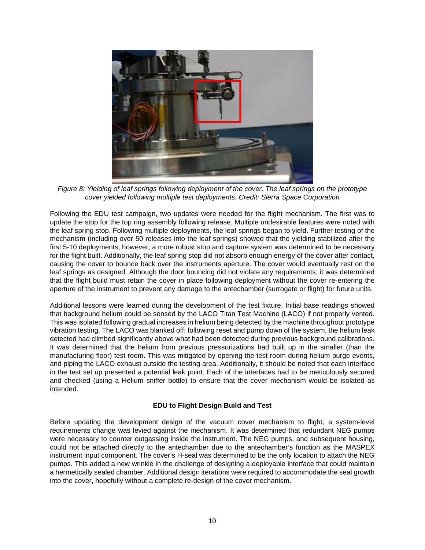

*Figure 8: Yielding of leaf springs following deployment of the cover. The leaf springs on the prototype cover yielded following multiple test deployments. Credit: Sierra Space Corporation* 

Following the EDU test campaign, two updates were needed for the flight mechanism. The first was to update the stop for the top ring assembly following release. Multiple undesirable features were noted with the leaf spring stop. Following multiple deployments, the leaf springs began to yield. Further testing of the mechanism (including over 50 releases into the leaf springs) showed that the yielding stabilized after the first 5-10 deployments, however, a more robust stop and capture system was determined to be necessary for the flight built. Additionally, the leaf spring stop did not absorb enough energy of the cover after contact, causing the cover to bounce back over the instruments aperture. The cover would eventually rest on the leaf springs as designed. Although the door bouncing did not violate any requirements, it was determined that the flight build must retain the cover in place following deployment without the cover re-entering the aperture of the instrument to prevent any damage to the antechamber (surrogate or flight) for future units.

Additional lessons were learned during the development of the test fixture. Initial base readings showed that background helium could be sensed by the LACO Titan Test Machine (LACO) if not properly vented. This was isolated following gradual increases in helium being detected by the machine throughout prototype vibration testing. The LACO was blanked off; following reset and pump down of the system, the helium leak detected had climbed significantly above what had been detected during previous background calibrations. It was determined that the helium from previous pressurizations had built up in the smaller (than the manufacturing floor) test room. This was mitigated by opening the test room during helium purge events, and piping the LACO exhaust outside the testing area. Additionally, it should be noted that each interface in the test set up presented a potential leak point. Each of the interfaces had to be meticulously secured and checked (using a Helium sniffer bottle) to ensure that the cover mechanism would be isolated as intended.

# **EDU to Flight Design Build and Test**

Before updating the development design of the vacuum cover mechanism to flight, a system-level requirements change was levied against the mechanism. It was determined that redundant NEG pumps were necessary to counter outgassing inside the instrument. The NEG pumps, and subsequent housing, could not be attached directly to the antechamber due to the antechamber's function as the MASPEX instrument input component. The cover's H-seal was determined to be the only location to attach the NEG pumps. This added a new wrinkle in the challenge of designing a deployable interface that could maintain a hermetically sealed chamber. Additional design iterations were required to accommodate the seal growth into the cover, hopefully without a complete re-design of the cover mechanism.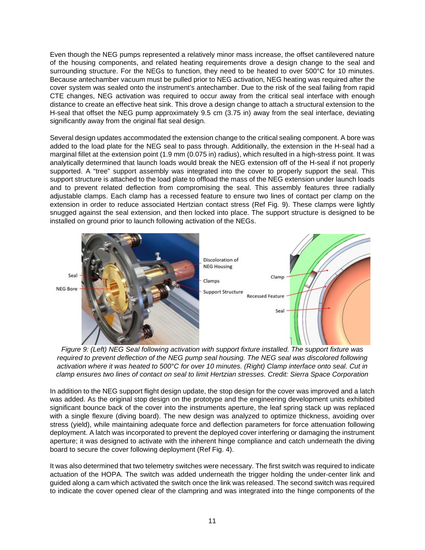Even though the NEG pumps represented a relatively minor mass increase, the offset cantilevered nature of the housing components, and related heating requirements drove a design change to the seal and surrounding structure. For the NEGs to function, they need to be heated to over 500°C for 10 minutes. Because antechamber vacuum must be pulled prior to NEG activation, NEG heating was required after the cover system was sealed onto the instrument's antechamber. Due to the risk of the seal failing from rapid CTE changes, NEG activation was required to occur away from the critical seal interface with enough distance to create an effective heat sink. This drove a design change to attach a structural extension to the H-seal that offset the NEG pump approximately 9.5 cm (3.75 in) away from the seal interface, deviating significantly away from the original flat seal design.

Several design updates accommodated the extension change to the critical sealing component. A bore was added to the load plate for the NEG seal to pass through. Additionally, the extension in the H-seal had a marginal fillet at the extension point (1.9 mm (0.075 in) radius), which resulted in a high-stress point. It was analytically determined that launch loads would break the NEG extension off of the H-seal if not properly supported. A "tree" support assembly was integrated into the cover to properly support the seal. This support structure is attached to the load plate to offload the mass of the NEG extension under launch loads and to prevent related deflection from compromising the seal. This assembly features three radially adjustable clamps. Each clamp has a recessed feature to ensure two lines of contact per clamp on the extension in order to reduce associated Hertzian contact stress (Ref Fig. 9). These clamps were lightly snugged against the seal extension, and then locked into place. The support structure is designed to be installed on ground prior to launch following activation of the NEGs.



*Figure 9: (Left) NEG Seal following activation with support fixture installed. The support fixture was required to prevent deflection of the NEG pump seal housing. The NEG seal was discolored following activation where it was heated to 500°C for over 10 minutes. (Right) Clamp interface onto seal. Cut in clamp ensures two lines of contact on seal to limit Hertzian stresses. Credit: Sierra Space Corporation* 

In addition to the NEG support flight design update, the stop design for the cover was improved and a latch was added. As the original stop design on the prototype and the engineering development units exhibited significant bounce back of the cover into the instruments aperture, the leaf spring stack up was replaced with a single flexure (diving board). The new design was analyzed to optimize thickness, avoiding over stress (yield), while maintaining adequate force and deflection parameters for force attenuation following deployment. A latch was incorporated to prevent the deployed cover interfering or damaging the instrument aperture; it was designed to activate with the inherent hinge compliance and catch underneath the diving board to secure the cover following deployment (Ref Fig. 4).

It was also determined that two telemetry switches were necessary. The first switch was required to indicate actuation of the HOPA. The switch was added underneath the trigger holding the under-center link and guided along a cam which activated the switch once the link was released. The second switch was required to indicate the cover opened clear of the clampring and was integrated into the hinge components of the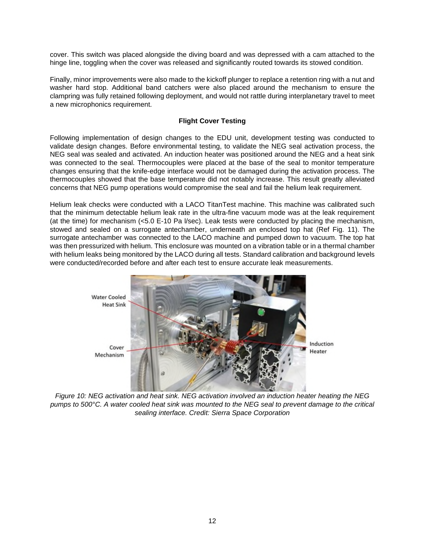cover. This switch was placed alongside the diving board and was depressed with a cam attached to the hinge line, toggling when the cover was released and significantly routed towards its stowed condition.

Finally, minor improvements were also made to the kickoff plunger to replace a retention ring with a nut and washer hard stop. Additional band catchers were also placed around the mechanism to ensure the clampring was fully retained following deployment, and would not rattle during interplanetary travel to meet a new microphonics requirement.

## **Flight Cover Testing**

Following implementation of design changes to the EDU unit, development testing was conducted to validate design changes. Before environmental testing, to validate the NEG seal activation process, the NEG seal was sealed and activated. An induction heater was positioned around the NEG and a heat sink was connected to the seal. Thermocouples were placed at the base of the seal to monitor temperature changes ensuring that the knife-edge interface would not be damaged during the activation process. The thermocouples showed that the base temperature did not notably increase. This result greatly alleviated concerns that NEG pump operations would compromise the seal and fail the helium leak requirement.

Helium leak checks were conducted with a LACO TitanTest machine. This machine was calibrated such that the minimum detectable helium leak rate in the ultra-fine vacuum mode was at the leak requirement (at the time) for mechanism (<5.0 E-10 Pa l/sec). Leak tests were conducted by placing the mechanism, stowed and sealed on a surrogate antechamber, underneath an enclosed top hat (Ref Fig. 11). The surrogate antechamber was connected to the LACO machine and pumped down to vacuum. The top hat was then pressurized with helium. This enclosure was mounted on a vibration table or in a thermal chamber with helium leaks being monitored by the LACO during all tests. Standard calibration and background levels were conducted/recorded before and after each test to ensure accurate leak measurements.



*Figure 10: NEG activation and heat sink. NEG activation involved an induction heater heating the NEG pumps to 500°C. A water cooled heat sink was mounted to the NEG seal to prevent damage to the critical sealing interface. Credit: Sierra Space Corporation*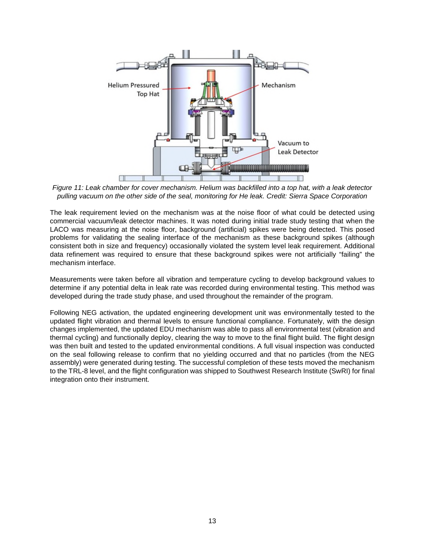

*Figure 11: Leak chamber for cover mechanism. Helium was backfilled into a top hat, with a leak detector pulling vacuum on the other side of the seal, monitoring for He leak. Credit: Sierra Space Corporation* 

The leak requirement levied on the mechanism was at the noise floor of what could be detected using commercial vacuum/leak detector machines. It was noted during initial trade study testing that when the LACO was measuring at the noise floor, background (artificial) spikes were being detected. This posed problems for validating the sealing interface of the mechanism as these background spikes (although consistent both in size and frequency) occasionally violated the system level leak requirement. Additional data refinement was required to ensure that these background spikes were not artificially "failing" the mechanism interface.

Measurements were taken before all vibration and temperature cycling to develop background values to determine if any potential delta in leak rate was recorded during environmental testing. This method was developed during the trade study phase, and used throughout the remainder of the program.

Following NEG activation, the updated engineering development unit was environmentally tested to the updated flight vibration and thermal levels to ensure functional compliance. Fortunately, with the design changes implemented, the updated EDU mechanism was able to pass all environmental test (vibration and thermal cycling) and functionally deploy, clearing the way to move to the final flight build. The flight design was then built and tested to the updated environmental conditions. A full visual inspection was conducted on the seal following release to confirm that no yielding occurred and that no particles (from the NEG assembly) were generated during testing. The successful completion of these tests moved the mechanism to the TRL-8 level, and the flight configuration was shipped to Southwest Research Institute (SwRI) for final integration onto their instrument.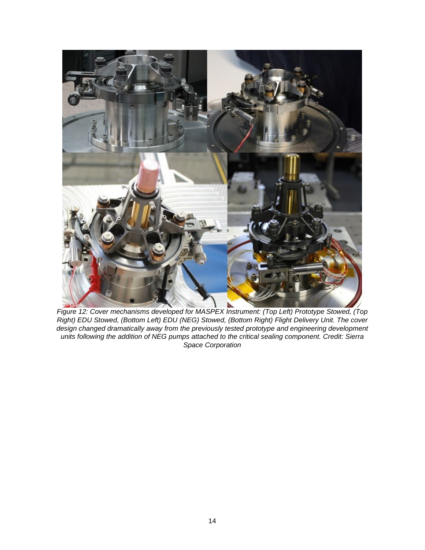

*Figure 12: Cover mechanisms developed for MASPEX Instrument: (Top Left) Prototype Stowed, (Top Right) EDU Stowed, (Bottom Left) EDU (NEG) Stowed, (Bottom Right) Flight Delivery Unit. The cover design changed dramatically away from the previously tested prototype and engineering development units following the addition of NEG pumps attached to the critical sealing component. Credit: Sierra Space Corporation*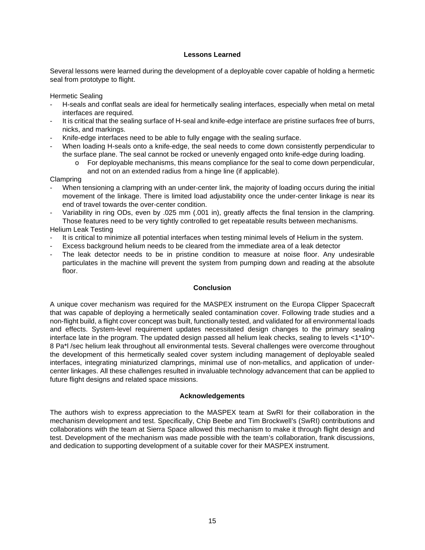#### **Lessons Learned**

Several lessons were learned during the development of a deployable cover capable of holding a hermetic seal from prototype to flight.

Hermetic Sealing

- H-seals and conflat seals are ideal for hermetically sealing interfaces, especially when metal on metal interfaces are required.
- It is critical that the sealing surface of H-seal and knife-edge interface are pristine surfaces free of burrs, nicks, and markings.
- Knife-edge interfaces need to be able to fully engage with the sealing surface.
- When loading H-seals onto a knife-edge, the seal needs to come down consistently perpendicular to the surface plane. The seal cannot be rocked or unevenly engaged onto knife-edge during loading.
	- o For deployable mechanisms, this means compliance for the seal to come down perpendicular, and not on an extended radius from a hinge line (if applicable).

Clampring

- When tensioning a clampring with an under-center link, the majority of loading occurs during the initial movement of the linkage. There is limited load adjustability once the under-center linkage is near its end of travel towards the over-center condition.
- Variability in ring ODs, even by .025 mm (.001 in), greatly affects the final tension in the clampring. Those features need to be very tightly controlled to get repeatable results between mechanisms.

Helium Leak Testing

- It is critical to minimize all potential interfaces when testing minimal levels of Helium in the system.
- Excess background helium needs to be cleared from the immediate area of a leak detector
- The leak detector needs to be in pristine condition to measure at noise floor. Any undesirable particulates in the machine will prevent the system from pumping down and reading at the absolute floor.

#### **Conclusion**

A unique cover mechanism was required for the MASPEX instrument on the Europa Clipper Spacecraft that was capable of deploying a hermetically sealed contamination cover. Following trade studies and a non-flight build, a flight cover concept was built, functionally tested, and validated for all environmental loads and effects. System-level requirement updates necessitated design changes to the primary sealing interface late in the program. The updated design passed all helium leak checks, sealing to levels <1\*10^-8 Pa\*l /sec helium leak throughout all environmental tests. Several challenges were overcome throughout the development of this hermetically sealed cover system including management of deployable sealed interfaces, integrating miniaturized clamprings, minimal use of non-metallics, and application of undercenter linkages. All these challenges resulted in invaluable technology advancement that can be applied to future flight designs and related space missions.

#### **Acknowledgements**

The authors wish to express appreciation to the MASPEX team at SwRI for their collaboration in the mechanism development and test. Specifically, Chip Beebe and Tim Brockwell's (SwRI) contributions and collaborations with the team at Sierra Space allowed this mechanism to make it through flight design and test. Development of the mechanism was made possible with the team's collaboration, frank discussions, and dedication to supporting development of a suitable cover for their MASPEX instrument.